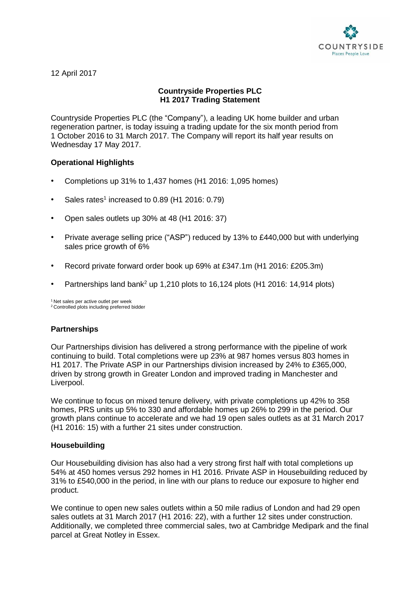

12 April 2017

# **Countryside Properties PLC H1 2017 Trading Statement**

Countryside Properties PLC (the "Company"), a leading UK home builder and urban regeneration partner, is today issuing a trading update for the six month period from 1 October 2016 to 31 March 2017. The Company will report its half year results on Wednesday 17 May 2017.

# **Operational Highlights**

- Completions up 31% to 1,437 homes (H1 2016: 1,095 homes)
- Sales rates<sup>1</sup> increased to 0.89 (H1 2016: 0.79)
- Open sales outlets up 30% at 48 (H1 2016: 37)
- Private average selling price ("ASP") reduced by 13% to £440,000 but with underlying sales price growth of 6%
- Record private forward order book up 69% at £347.1m (H1 2016: £205.3m)
- Partnerships land bank<sup>2</sup> up 1,210 plots to 16,124 plots (H1 2016: 14,914 plots)

<sup>1</sup> Net sales per active outlet per week <sup>2</sup> Controlled plots including preferred bidder

# **Partnerships**

Our Partnerships division has delivered a strong performance with the pipeline of work continuing to build. Total completions were up 23% at 987 homes versus 803 homes in H1 2017. The Private ASP in our Partnerships division increased by 24% to £365,000, driven by strong growth in Greater London and improved trading in Manchester and Liverpool.

We continue to focus on mixed tenure delivery, with private completions up 42% to 358 homes, PRS units up 5% to 330 and affordable homes up 26% to 299 in the period. Our growth plans continue to accelerate and we had 19 open sales outlets as at 31 March 2017 (H1 2016: 15) with a further 21 sites under construction.

#### **Housebuilding**

Our Housebuilding division has also had a very strong first half with total completions up 54% at 450 homes versus 292 homes in H1 2016. Private ASP in Housebuilding reduced by 31% to £540,000 in the period, in line with our plans to reduce our exposure to higher end product.

We continue to open new sales outlets within a 50 mile radius of London and had 29 open sales outlets at 31 March 2017 (H1 2016: 22), with a further 12 sites under construction. Additionally, we completed three commercial sales, two at Cambridge Medipark and the final parcel at Great Notley in Essex.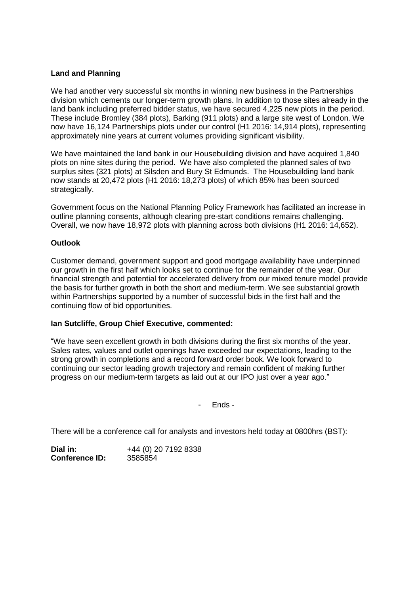### **Land and Planning**

We had another very successful six months in winning new business in the Partnerships division which cements our longer-term growth plans. In addition to those sites already in the land bank including preferred bidder status, we have secured 4,225 new plots in the period. These include Bromley (384 plots), Barking (911 plots) and a large site west of London. We now have 16,124 Partnerships plots under our control (H1 2016: 14,914 plots), representing approximately nine years at current volumes providing significant visibility.

We have maintained the land bank in our Housebuilding division and have acquired 1,840 plots on nine sites during the period. We have also completed the planned sales of two surplus sites (321 plots) at Silsden and Bury St Edmunds. The Housebuilding land bank now stands at 20,472 plots (H1 2016: 18,273 plots) of which 85% has been sourced strategically.

Government focus on the National Planning Policy Framework has facilitated an increase in outline planning consents, although clearing pre-start conditions remains challenging. Overall, we now have 18,972 plots with planning across both divisions (H1 2016: 14,652).

#### **Outlook**

Customer demand, government support and good mortgage availability have underpinned our growth in the first half which looks set to continue for the remainder of the year. Our financial strength and potential for accelerated delivery from our mixed tenure model provide the basis for further growth in both the short and medium-term. We see substantial growth within Partnerships supported by a number of successful bids in the first half and the continuing flow of bid opportunities.

#### **Ian Sutcliffe, Group Chief Executive, commented:**

"We have seen excellent growth in both divisions during the first six months of the year. Sales rates, values and outlet openings have exceeded our expectations, leading to the strong growth in completions and a record forward order book. We look forward to continuing our sector leading growth trajectory and remain confident of making further progress on our medium-term targets as laid out at our IPO just over a year ago."

- Ends -

There will be a conference call for analysts and investors held today at 0800hrs (BST):

**Dial in:** +44 (0) 20 7192 8338 **Conference ID:** 3585854